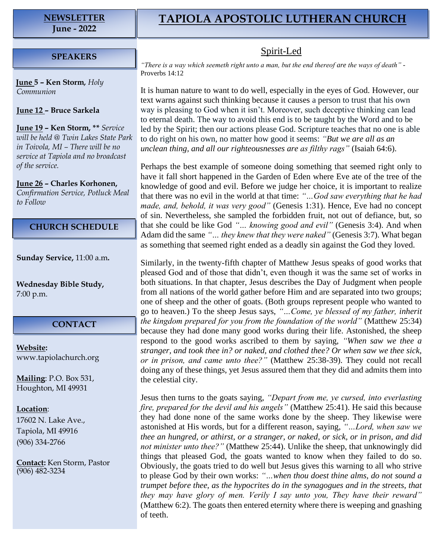# **NEWSLETTER**

**June - 2022**

## **TAPIOLA APOSTOLIC LUTHERAN CHURCH**

Spirit-Led

### **SPEAKERS**

**June 5 – Ken Storm***, Holy Communion*

**June 12 – Bruce Sarkela**

**June 19 – Ken Storm, \*\*** *Service will be held @ Twin Lakes State Park in Toivola, MI – There will be no service at Tapiola and no broadcast of the service.*

**June 26 – Charles Korhonen,**  *Confirmation Service, Potluck Meal to Follow*

#### **CHURCH SCHEDULE**

**Sunday Service,** 11:00 a.m**.**

**Wednesday Bible Study,** 7:00 p.m.

#### **CONTACT**

**Website:**  [www.tapiolachurch.org](http://www.tapiolachurch.or/)

**Mailing**: P.O. Box 531, Houghton, MI 49931

#### **Location**:

17602 N. Lake Ave., Tapiola, MI 49916 (906) 334-2766

**Contact:** Ken Storm, Pastor (906) 482-3234

*"There is a way which seemeth right unto a man, but the end thereof are the ways of death"* - Proverbs 14:12

It is human nature to want to do well, especially in the eyes of God. However, our text warns against such thinking because it causes a person to trust that his own way is pleasing to God when it isn't. Moreover, such deceptive thinking can lead to eternal death. The way to avoid this end is to be taught by the Word and to be led by the Spirit; then our actions please God. Scripture teaches that no one is able to do right on his own, no matter how good it seems: *"But we are all as an unclean thing, and all our righteousnesses are as filthy rags"* (Isaiah 64:6).

Perhaps the best example of someone doing something that seemed right only to have it fall short happened in the Garden of Eden where Eve ate of the tree of the knowledge of good and evil. Before we judge her choice, it is important to realize that there was no evil in the world at that time: *"…God saw everything that he had made, and, behold, it was very good"* (Genesis 1:31). Hence, Eve had no concept of sin. Nevertheless, she sampled the forbidden fruit, not out of defiance, but, so that she could be like God *"… knowing good and evil"* (Genesis 3:4). And when Adam did the same *"… they knew that they were naked"* (Genesis 3:7). What began as something that seemed right ended as a deadly sin against the God they loved.

Similarly, in the twenty-fifth chapter of Matthew Jesus speaks of good works that pleased God and of those that didn't, even though it was the same set of works in both situations. In that chapter, Jesus describes the Day of Judgment when people from all nations of the world gather before Him and are separated into two groups; one of sheep and the other of goats. (Both groups represent people who wanted to go to heaven.) To the sheep Jesus says, *"…Come, ye blessed of my father, inherit the kingdom prepared for you from the foundation of the world"* (Matthew 25:34) because they had done many good works during their life. Astonished, the sheep respond to the good works ascribed to them by saying, *"When saw we thee a stranger, and took thee in? or naked, and clothed thee? Or when saw we thee sick, or in prison, and came unto thee?"* (Matthew 25:38-39). They could not recall doing any of these things, yet Jesus assured them that they did and admits them into the celestial city.

Jesus then turns to the goats saying, *"Depart from me, ye cursed, into everlasting fire, prepared for the devil and his angels"* (Matthew 25:41). He said this because they had done none of the same works done by the sheep. They likewise were astonished at His words, but for a different reason, saying, *"…Lord, when saw we thee an hungred, or athirst, or a stranger, or naked, or sick, or in prison, and did not minister unto thee?"* (Matthew 25:44). Unlike the sheep, that unknowingly did things that pleased God, the goats wanted to know when they failed to do so. Obviously, the goats tried to do well but Jesus gives this warning to all who strive to please God by their own works: *"…when thou doest thine alms, do not sound a trumpet before thee, as the hypocrites do in the synagogues and in the streets, that they may have glory of men. Verily I say unto you, They have their reward"* (Matthew 6:2). The goats then entered eternity where there is weeping and gnashing of teeth.